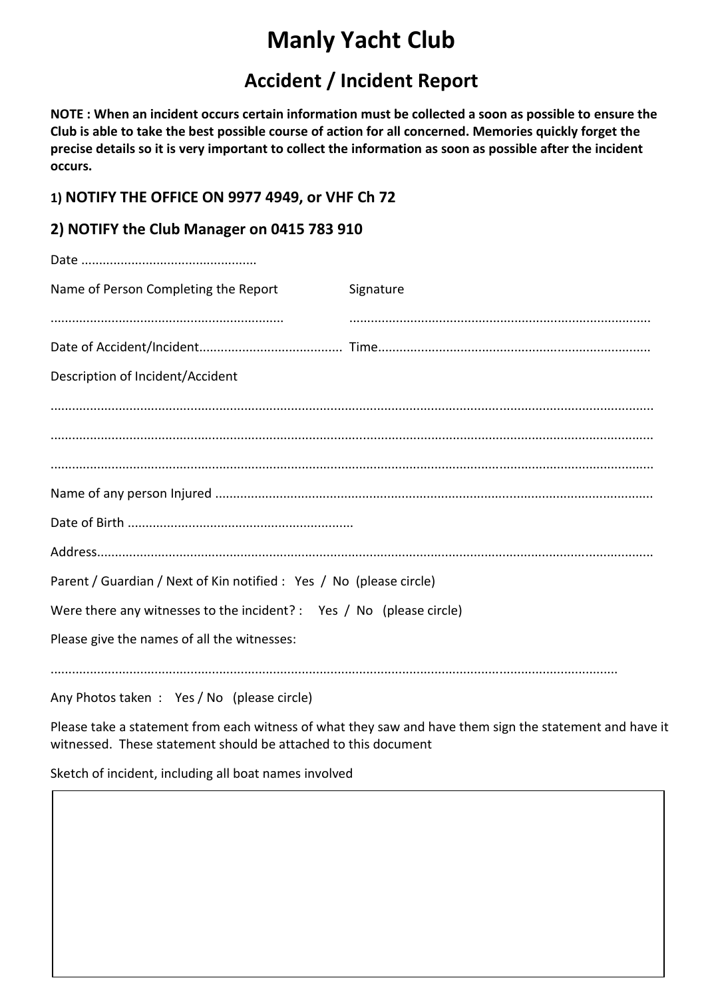# **Manly Yacht Club**

# **Accident / Incident Report**

**NOTE : When an incident occurs certain information must be collected a soon as possible to ensure the Club is able to take the best possible course of action for all concerned. Memories quickly forget the precise details so it is very important to collect the information as soon as possible after the incident occurs.**

## **1) NOTIFY THE OFFICE ON 9977 4949, or VHF Ch 72**

# **2) NOTIFY the Club Manager on 0415 783 910**

| Name of Person Completing the Report                                 | Signature |
|----------------------------------------------------------------------|-----------|
|                                                                      |           |
|                                                                      |           |
| Description of Incident/Accident                                     |           |
|                                                                      |           |
|                                                                      |           |
|                                                                      |           |
|                                                                      |           |
|                                                                      |           |
|                                                                      |           |
| Parent / Guardian / Next of Kin notified : Yes / No (please circle)  |           |
| Were there any witnesses to the incident? : Yes / No (please circle) |           |
| Please give the names of all the witnesses:                          |           |
| Any Photos taken : Yes / No (please circle)                          |           |

Please take a statement from each witness of what they saw and have them sign the statement and have it witnessed. These statement should be attached to this document

Sketch of incident, including all boat names involved